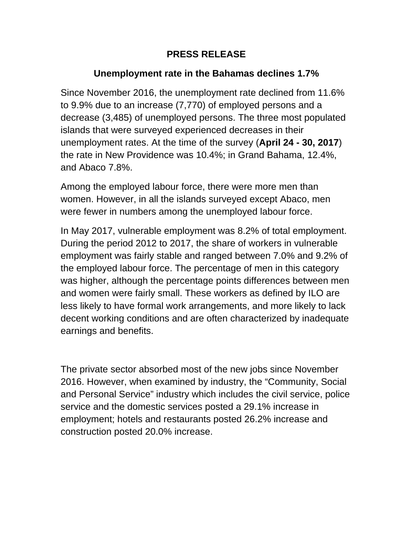## **PRESS RELEASE**

## **Unemployment rate in the Bahamas declines 1.7%**

Since November 2016, the unemployment rate declined from 11.6% to 9.9% due to an increase (7,770) of employed persons and a decrease (3,485) of unemployed persons. The three most populated islands that were surveyed experienced decreases in their unemployment rates. At the time of the survey (**April 24 - 30, 2017**) the rate in New Providence was 10.4%; in Grand Bahama, 12.4%, and Abaco 7.8%.

Among the employed labour force, there were more men than women. However, in all the islands surveyed except Abaco, men were fewer in numbers among the unemployed labour force.

In May 2017, vulnerable employment was 8.2% of total employment. During the period 2012 to 2017, the share of workers in vulnerable employment was fairly stable and ranged between 7.0% and 9.2% of the employed labour force. The percentage of men in this category was higher, although the percentage points differences between men and women were fairly small. These workers as defined by ILO are less likely to have formal work arrangements, and more likely to lack decent working conditions and are often characterized by inadequate earnings and benefits.

The private sector absorbed most of the new jobs since November 2016. However, when examined by industry, the "Community, Social and Personal Service" industry which includes the civil service, police service and the domestic services posted a 29.1% increase in employment; hotels and restaurants posted 26.2% increase and construction posted 20.0% increase.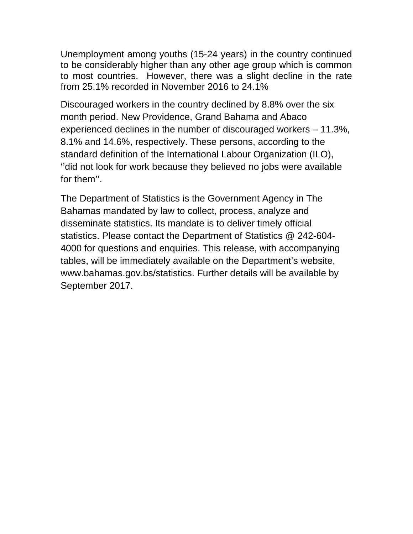Unemployment among youths (15-24 years) in the country continued to be considerably higher than any other age group which is common to most countries. However, there was a slight decline in the rate from 25.1% recorded in November 2016 to 24.1%

Discouraged workers in the country declined by 8.8% over the six month period. New Providence, Grand Bahama and Abaco experienced declines in the number of discouraged workers – 11.3%, 8.1% and 14.6%, respectively. These persons, according to the standard definition of the International Labour Organization (ILO), ''did not look for work because they believed no jobs were available for them''.

The Department of Statistics is the Government Agency in The Bahamas mandated by law to collect, process, analyze and disseminate statistics. Its mandate is to deliver timely official statistics. Please contact the Department of Statistics @ 242-604- 4000 for questions and enquiries. This release, with accompanying tables, will be immediately available on the Department's website, www.bahamas.gov.bs/statistics. Further details will be available by September 2017.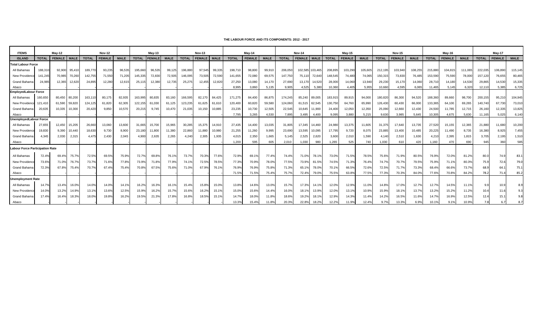#### **THE LABOUR FORCE AND ITS COMPONENTS: 2012 - 2017**

| <b>ITEMS</b>                           |              | Mav-12        |             |              | <b>Nov-12</b> |             |              | Mav-13        |             |              | <b>Nov-13</b> |             |              | $May-14$      |             |              | <b>Nov-14</b> |                 |              | $May-15$      |             |              | <b>Nov-15</b> |             |              | May-16        |             |              | Mav-17        |             |
|----------------------------------------|--------------|---------------|-------------|--------------|---------------|-------------|--------------|---------------|-------------|--------------|---------------|-------------|--------------|---------------|-------------|--------------|---------------|-----------------|--------------|---------------|-------------|--------------|---------------|-------------|--------------|---------------|-------------|--------------|---------------|-------------|
|                                        | <b>TOTAL</b> | <b>FEMALE</b> | <b>MALE</b> | <b>TOTAL</b> | <b>FEMALE</b> | <b>MALE</b> | <b>TOTAL</b> | <b>FEMALE</b> | <b>MALE</b> | <b>TOTAL</b> | <b>FEMALE</b> |             | <b>TOTAL</b> | <b>FEMALE</b> | <b>MALE</b> | <b>TOTAL</b> | <b>FEMALE</b> | <b>MALE</b>     | <b>TOTAL</b> | <b>FEMALE</b> | <b>MALE</b> | <b>TOTAL</b> | <b>FEMALE</b> | <b>MALE</b> | <b>TOTAL</b> | <b>FEMALE</b> | <b>MALE</b> | <b>TOTAL</b> | <b>FEMALE</b> | <b>MALE</b> |
| <b>ISLAND</b>                          |              |               |             |              |               |             |              |               |             |              |               | <b>MALE</b> |              |               |             |              |               |                 |              |               |             |              |               |             |              |               |             |              |               |             |
| <b>Total Labour Force</b>              |              |               |             |              |               |             |              |               |             |              |               |             |              |               |             |              |               |                 |              |               |             |              |               |             |              |               |             |              |               |             |
| All Bahamas                            | 188,310      | 92,900        | 95,410      | 189,77       | 93,235        | 96,535      | 195,660      | 96,535        | 99,125      | 196,880      | 97,545        | 99,335      | 198,710      | 98,800        | 99,910      | 206,050      |               | 102,585 103,465 | 208,895      | 103,290       | 105,605     | 212,195      | 103,940       | 108,255     | 215,880      | 104,815       | 111,065     | 222,035      | 106,890       | 115,145     |
| New Providend                          | 141,245      | 70,985        | 70,26       | 142,75       | 71,550        | 71,205      | 145,335      | 72,830        | 72,505      | 146,095      | 73,505        | 72,590      | 141,655      | 72,080        | 69,575      | 147,750      | 75,110        | 72,640          | 148,545      | 74,480        | 74,065      | 150,31       | 73,830        | 76,485      | 153,590      | 75,590        | 78,000      | 157,120      | 76,655        | 80,465      |
| Grand Bahama                           | 24,985       | 12,365        | 12,620      | 24,895       | 12,280        | 12,615      | 25,115       | 12,380        | 12,735      | 25,275       | 12,455        | 12,820      | 27,250       | 13,080        | 14.170      | 27.690       | 13,170        | 14,520          | 28,000       | 14,060        | 13,940      | 29,230       | 15,170        | 14,060      | 28,710       | 14,180        | 14,530      | 29,865       | 14,530        | 15,335      |
| Abaco                                  |              |               |             |              |               |             |              |               |             |              |               |             | 8,995        | 3,860         | 5,135       | 9,905        | 4,525         | 5,380           | 10,360       | 4,405         | 5,955       | 10,660       | 4,595         | 6,065       | 11,465       | 5,145         | 6,320       | 12,110       | 5,385         | 6,725       |
| <b>EmployedLabour Force</b>            |              |               |             |              |               |             |              |               |             |              |               |             |              |               |             |              |               |                 |              |               |             |              |               |             |              |               |             |              |               |             |
| All Bahamas                            | 160,650      | 80,450 80,200 |             | 163,11       | 80.175        | 82,935      | 163,995      | 80.835        | 83,160      | 166,595      | 82,170        | 84.425      | 171.275      | 84.400        | 86,875      | 174.245      | 85.240        | 89,005          | 183,915      | 89.915        | 94,000      | 180,820      | 86,300        | 94.520      | 188,360      | 89,660        | 98,700      | 200,155      | 95,21         | 104,945     |
| New Providence                         | 121.410      | 61,590 59,820 |             | 124,125      | 61.820        | 62,305      | 122,155      | 61,030        | 61,125      | 123,235      | 61.625        | 61.610      | 120.400      | 60.820        | 59,580      | 124,060      | 61,515 62,545 |                 | 130.750      | 64.760        | 65,990      | 126,430      | 60,430        | 66,000      | 133,365      | 64,100        | 69,265      | 140,740      | 67,730        | 73,010      |
| <b>Grand Bahama</b>                    | 20.635       | 10.335        | 10,300      | 20,420       | 9.850         | 10,570      | 20.215       | 9.745         | 10.470      | 21.035       | 10.150        | 10.885      | 23,235       | 10.730        | 12,505      | 22.545       | 10.645        | 11,900          | 24.400       | 12,050        | 12,350      | 25,090       | 12,660        | 12.430      | 24,500       | 11.785        | 12,715      | 26,160       | 12,335        | 13,825      |
| Abaco                                  |              |               |             |              |               |             |              |               |             |              |               |             | 7,795        | 3,265         | 4,530       | 7,895        | 3,495         | 4,400           | 9,095        | 3,880         | 5,215       | 9,630        | 3,985         | 5,645       | 10,305       | 4,675         | 5,630       | 11,165       | 5,025         | 6,14        |
| <b>UnemployedLabour Force</b>          |              |               |             |              |               |             |              |               |             |              |               |             |              |               |             |              |               |                 |              |               |             |              |               |             |              |               |             |              |               |             |
| All Bahamas                            | 27.655       | 12,450        | 15,205      | 26,660       | 13,060        | 13,600      | 31.665       | 15,700        | 15,965      | 30,285       | 15,375        | 14.910      | 27.435       | 14,400        | 13,035      | 31,805       | 17.345        | 14,460          | 24.980       | 13,375        | 11,605      | 31,375       | 17,640        | 13.735      | 27,520       | 15,155        | 12,365      | 21,880       | 11,680        | 10,200      |
| New Providenc                          | 19,830       | 9,390         | 10,440      | 18,630       | 9,730         | 8,900       | 23,180       | 11,800        | 11,380      | 22,860       | 11,880        | 10,980      | 21,255       | 11,260        | 9,995       | 23,690       | 13,595        | 10,095          | 17,795       | 9,720         | 8,075       | 23,885       | 13,400        | 10,485      | 20,225       | 11,490        | 8,735       | 16,380       | 8,925         | 7,455       |
| Grand Bahama                           | 4.345        | 2,030         | 2,315       | 4,475        | 2,430         | 2,045       | 4,900        | 2,635         | 2,265       | 4,240        | 2,305         | 1,935       | 4,015        | 2,350         | 1,665       | 5,145        | 2,525         | 2,620           | 3,600        | 2,010         | 1,590       | 4,140        | 2,510         | 1,630       | 4,210        | 2,395         | 1,815       | 3,705        | 2,195         | 1,510       |
| Abaco                                  |              |               |             |              |               |             |              |               |             |              |               |             | 1,200        | 595           | 605         | 2,010        | 1,030         | 980             | 1,265        | 525           | 740         | 1,030        | 610           | 420         | 1,160        | 470           | 690         | 945          | 360           | 585         |
| <b>Labour Force Participation Rate</b> |              |               |             |              |               |             |              |               |             |              |               |             |              |               |             |              |               |                 |              |               |             |              |               |             |              |               |             |              |               |             |
| All Bahamas                            | 72.4%        | 69.4%         | 75.7%       | 72.5%        | 69.5%         | 75.9%       | 72.7%        | 69.8%         | 76.1%       | 73.7%        | 70.3%         | 77.6%       | 72.9%        | 69.1%         | 77.4%       | 74.4%        | 71.0%         | 78.1%           | 73.0%        | 71.5%         | 78.5%       | 75.6%        | 71.9%         | 80.5%       | 76.9%        | 72.0%         | 81.2%       | 80.0         | 74.9          | 83.1        |
| New Providenc                          | 73.6%        | 71.0%         | 76.7%       | 73.7%        | 71.6%         | 77.8%       | 73.9%        | 71.8%         | 77.9%       | 74.1%        | 72.5%         | 78.5%       | 77.3%        | 70.9%         | 78.0%       | 77.5%        | 73.9%         | 81.5%           | 74.5%        | 71.3%         | 76.4%       | 74.7%        | 70.7%         | 79.5%       | 75.9%        | 71.1%         | 80.3%       | 75.9         | 72.6          | 79.0        |
| Grand Bahama                           | 72.3%        | 67.8%         | 75.4%       | 70.7%        | 67.4%         | 75.4%       | 70.8%        | 67.5%         | 75.6%       | 71.0%        | 67.9%         | 76.1%       | 76.9%        | 76.9%         | 75.8%       | 71.3%        | 65.1%         | 78.0%           | 70.1%        | 66.5%         | 72.6%       | 72.5%        | 71.7%         | 73.3%       | 68.4%        | 66.6%         | 73.7%       | 68.9         | 64.7          | 75.1        |
| Abaco                                  |              |               |             |              |               |             |              |               |             |              |               |             | 71.5%        | 71.5%         | 75.4%       | 75.7%        | 72.4%         | 79.0%           | 75.5%        | 63.8%         | 77.5%       | 77.3%        | 70.3%         | 84.0%       | 77.6%        | 70.8%         | 84.2%       | 78.2         | 71.           | 85.7        |
| <b>Unemployment Rate</b>               |              |               |             |              |               |             |              |               |             |              |               |             |              |               |             |              |               |                 |              |               |             |              |               |             |              |               |             |              |               |             |
| All Bahamas                            | 14.7%        | 13.4%         | 16.0%       | 14.0%        | 14.0%         | 14.1%       | 16.2%        | 16.3%         | 16.1%       | 15.4%        | 15.8%         | 15.0%       | 13.8%        | 14.6%         | 13.0%       | 15.7%        | 17.3%         | 14.1%           | 12.0%        | 12.9%         | 11.0%       | 14.8%        | 17.0%         | 12.7%       | 12.7%        | 14.5%         | 11.1%       |              | 10.9          | 8.9         |
| New Providenc                          | 14.0%        | 13.2%         | 14.9%       | 13.1%        | 13.6%         | 12.5%       | 15.9%        | 16.2%         | 15.7%       | 15.6%        | 16.2%         | 15.1%       | 15.0%        | 15.6%         | 14.4%       | 16.0%        | 18.1%         | 13.9%           | 12.0%        | 13.1%         | 10.9%       | 15.9%        | 18.1%         | 13.7%       | 13.2%        | 15.2%         | 11.2%       | 10.4         | 11.6          | 9.3         |
| Grand Bahama                           | 17.4%        | 16.4%         | 18.3%       | 18.0%        | 19.8%         | 16.2%       | 19.5%        | 21.3%         | 17.8%       | 16.8%        | 18.5%         | 15.1%       | 14.7%        | 18.0%         | 11.8%       | 18.6%        | 19.2%         | 18.1%           | 12.9%        | 14.3%         | 11.4%       | 14.2%        | 16.5%         | 11.6%       | 14.7%        | 16.9%         | 12.5%       | 12.4         | 15.2          | 9.          |
| Abaco                                  |              |               |             |              |               |             |              |               |             |              |               |             | 13.3%        | 15.4%         | 11.8%       | 20.3%        | 22.8%         | 18.2%           | 12.2%        | 11.9%         | 12.4%       | 9.7%         | 13.39         | 6.9%        | 10.19        | 9.1%          | 10.9%       | 78           |               |             |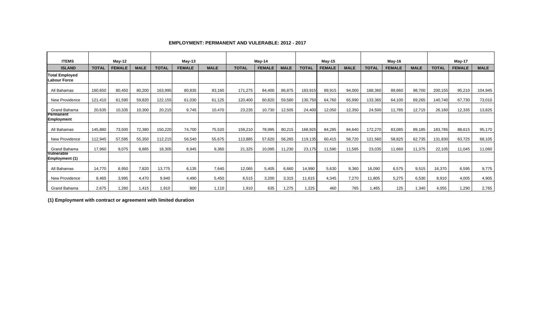| <b>ITEMS</b>                                 | $May-12$     |               |             | $May-13$     |               |             | May-14       |               |             | $May-15$     |               |             | May-16       |               |             | May-17       |               |             |
|----------------------------------------------|--------------|---------------|-------------|--------------|---------------|-------------|--------------|---------------|-------------|--------------|---------------|-------------|--------------|---------------|-------------|--------------|---------------|-------------|
| <b>ISLAND</b>                                | <b>TOTAL</b> | <b>FEMALE</b> | <b>MALE</b> | <b>TOTAL</b> | <b>FEMALE</b> | <b>MALE</b> | <b>TOTAL</b> | <b>FEMALE</b> | <b>MALE</b> | <b>TOTAL</b> | <b>FEMALE</b> | <b>MALE</b> | <b>TOTAL</b> | <b>FEMALE</b> | <b>MALE</b> | <b>TOTAL</b> | <b>FEMALE</b> | <b>MALE</b> |
| <b>Total Employed</b><br><b>Labour Force</b> |              |               |             |              |               |             |              |               |             |              |               |             |              |               |             |              |               |             |
| All Bahamas                                  | 160,650      | 80,450        | 80,200      | 163,995      | 80,835        | 83,160      | 171,275      | 84,400        | 86,875      | 183,915      | 89,915        | 94,000      | 188,360      | 89,660        | 98,700      | 200,155      | 95,210        | 104,945     |
| <b>New Providence</b>                        | 121,410      | 61,590        | 59,820      | 122,155      | 61,030        | 61,125      | 120,400      | 60,820        | 59,580      | 130,750      | 64,760        | 65,990      | 133,365      | 64,100        | 69,265      | 140,740      | 67,730        | 73,010      |
| Grand Bahama                                 | 20,635       | 10,335        | 10,300      | 20,215       | 9,745         | 10,470      | 23,235       | 10,730        | 12,505      | 24,400       | 12,050        | 12,350      | 24,500       | 11,785        | 12,715      | 26,160       | 12,335        | 13,825      |
| Permanent<br>Employment                      |              |               |             |              |               |             |              |               |             |              |               |             |              |               |             |              |               |             |
| All Bahamas                                  | 145,880      | 73,500        | 72,380      | 150,220      | 74,700        | 75,520      | 159,210      | 78,995        | 80,215      | 168,925      | 84,285        | 84,640      | 172,270      | 83,085        | 89,185      | 183,785      | 88,615        | 95,170      |
| <b>New Providence</b>                        | 112,945      | 57,595        | 55,350      | 112,215      | 56,540        | 55,675      | 113,885      | 57,620        | 56,265      | 119,135      | 60,415        | 58,720      | 121,560      | 58,825        | 62,735      | 131,830      | 63,725        | 68,105      |
| Grand Bahama                                 | 17,960       | 9,075         | 8,885       | 18,305       | 8.945         | 9,360       | 21,325       | 10,095        | 11,230      | 23,175       | 11,590        | 11,585      | 23,035       | 11,660        | 11,375      | 22,105       | 11,045        | 11,060      |
| Vulnerable<br><b>Employment (1)</b>          |              |               |             |              |               |             |              |               |             |              |               |             |              |               |             |              |               |             |
| All Bahamas                                  | 14,770       | 6,950         | 7,820       | 13,775       | 6,135         | 7,640       | 12,065       | 5,405         | 6,660       | 14,990       | 5,630         | 9,360       | 16,090       | 6,575         | 9,515       | 16,370       | 6,595         | 9,775       |
| New Providence                               | 8,465        | 3,995         | 4,470       | 9,940        | 4,490         | 5,450       | 6,515        | 3,200         | 3,315       | 11,615       | 4,345         | 7,270       | 11,805       | 5,275         | 6,530       | 8,910        | 4,005         | 4,905       |
| Grand Bahama                                 | 2,675        | 1,260         | 1,415       | 1,910        | 800           | 1,110       | 1,910        | 635           | 1,275       | ,225         | 460           | 765         | .465         | 125           | 1,340       | 4,055        | 1,290         | 2,765       |

### **EMPLOYMENT: PERMANENT AND VULERABLE: 2012 - 2017**

**(1) Employment with contract or agreement with limited duration**